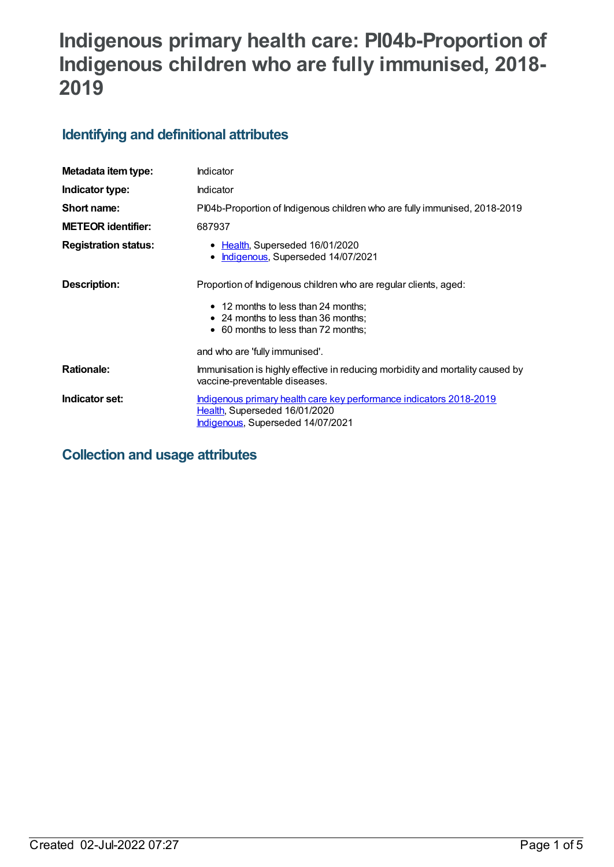# **Indigenous primary health care: PI04b-Proportion of Indigenous children who are fully immunised, 2018- 2019**

# **Identifying and definitional attributes**

| Metadata item type:         | Indicator                                                                                                                                 |
|-----------------------------|-------------------------------------------------------------------------------------------------------------------------------------------|
| Indicator type:             | Indicator                                                                                                                                 |
| Short name:                 | PI04b-Proportion of Indigenous children who are fully immunised, 2018-2019                                                                |
| <b>METEOR identifier:</b>   | 687937                                                                                                                                    |
| <b>Registration status:</b> | • Health, Superseded 16/01/2020<br>Indigenous, Superseded 14/07/2021<br>$\bullet$                                                         |
| Description:                | Proportion of Indigenous children who are regular clients, aged:                                                                          |
|                             | • 12 months to less than 24 months;<br>• 24 months to less than 36 months;<br>• 60 months to less than 72 months;                         |
|                             | and who are 'fully immunised'.                                                                                                            |
| <b>Rationale:</b>           | Immunisation is highly effective in reducing morbidity and mortality caused by<br>vaccine-preventable diseases.                           |
| Indicator set:              | Indigenous primary health care key performance indicators 2018-2019<br>Health, Superseded 16/01/2020<br>Indigenous, Superseded 14/07/2021 |

# **Collection and usage attributes**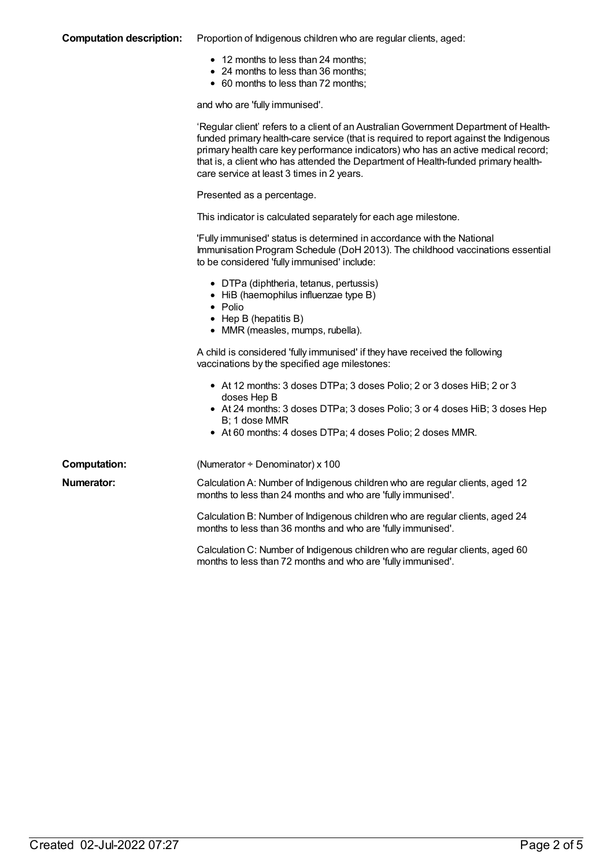#### **Computation description:** Proportion of Indigenous children who are regular clients, aged:

- 12 months to less than 24 months;
- 24 months to less than 36 months;
- 60 months to less than 72 months;

and who are 'fully immunised'.

|                     | 'Regular client' refers to a client of an Australian Government Department of Health-<br>funded primary health-care service (that is required to report against the Indigenous<br>primary health care key performance indicators) who has an active medical record;<br>that is, a client who has attended the Department of Health-funded primary health-<br>care service at least 3 times in 2 years. |
|---------------------|--------------------------------------------------------------------------------------------------------------------------------------------------------------------------------------------------------------------------------------------------------------------------------------------------------------------------------------------------------------------------------------------------------|
|                     | Presented as a percentage.                                                                                                                                                                                                                                                                                                                                                                             |
|                     | This indicator is calculated separately for each age milestone.                                                                                                                                                                                                                                                                                                                                        |
|                     | 'Fully immunised' status is determined in accordance with the National<br>Immunisation Program Schedule (DoH 2013). The childhood vaccinations essential<br>to be considered 'fully immunised' include:                                                                                                                                                                                                |
|                     | • DTPa (diphtheria, tetanus, pertussis)<br>• HiB (haemophilus influenzae type B)<br>$\bullet$ Polio<br>$\bullet$ Hep B (hepatitis B)<br>• MMR (measles, mumps, rubella).                                                                                                                                                                                                                               |
|                     | A child is considered 'fully immunised' if they have received the following<br>vaccinations by the specified age milestones:                                                                                                                                                                                                                                                                           |
|                     | • At 12 months: 3 doses DTPa; 3 doses Polio; 2 or 3 doses HiB; 2 or 3<br>doses Hep B<br>• At 24 months: 3 doses DTPa; 3 doses Polio; 3 or 4 doses HiB; 3 doses Hep<br>B; 1 dose MMR<br>• At 60 months: 4 doses DTPa; 4 doses Polio; 2 doses MMR.                                                                                                                                                       |
| <b>Computation:</b> | (Numerator ÷ Denominator) x 100                                                                                                                                                                                                                                                                                                                                                                        |
| Numerator:          | Calculation A: Number of Indigenous children who are regular clients, aged 12<br>months to less than 24 months and who are 'fully immunised'.                                                                                                                                                                                                                                                          |
|                     | Calculation B: Number of Indigenous children who are regular clients, aged 24<br>months to less than 36 months and who are 'fully immunised'.                                                                                                                                                                                                                                                          |
|                     | Calculation C: Number of Indigenous children who are regular clients, aged 60<br>months to less than 72 months and who are 'fully immunised'.                                                                                                                                                                                                                                                          |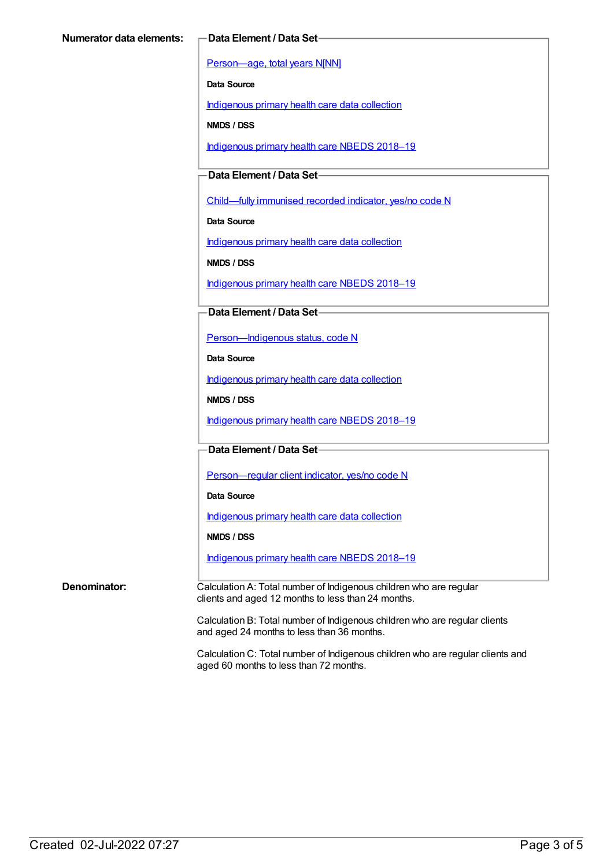[Person—age,](https://meteor.aihw.gov.au/content/303794) total years N[NN]

**Data Source**

[Indigenous](https://meteor.aihw.gov.au/content/430643) primary health care data collection

**NMDS / DSS**

[Indigenous](https://meteor.aihw.gov.au/content/694101) primary health care NBEDS 2018–19

**Data Element / Data Set**

[Child—fully](https://meteor.aihw.gov.au/content/457664) immunised recorded indicator, yes/no code N

**Data Source**

[Indigenous](https://meteor.aihw.gov.au/content/430643) primary health care data collection

**NMDS / DSS**

[Indigenous](https://meteor.aihw.gov.au/content/694101) primary health care NBEDS 2018-19

**Data Element / Data Set**

[Person—Indigenous](https://meteor.aihw.gov.au/content/602543) status, code N

**Data Source**

[Indigenous](https://meteor.aihw.gov.au/content/430643) primary health care data collection

**NMDS / DSS**

[Indigenous](https://meteor.aihw.gov.au/content/694101) primary health care NBEDS 2018-19

**Data Element / Data Set**

[Person—regular](https://meteor.aihw.gov.au/content/686291) client indicator, yes/no code N

**Data Source**

[Indigenous](https://meteor.aihw.gov.au/content/430643) primary health care data collection

**NMDS / DSS**

[Indigenous](https://meteor.aihw.gov.au/content/694101) primary health care NBEDS 2018–19

**Denominator:** Calculation A: Total number of Indigenous children who are regular clients and aged 12 months to less than 24 months.

> Calculation B: Total number of Indigenous children who are regular clients and aged 24 months to less than 36 months.

Calculation C: Total number of Indigenous children who are regular clients and aged 60 months to less than 72 months.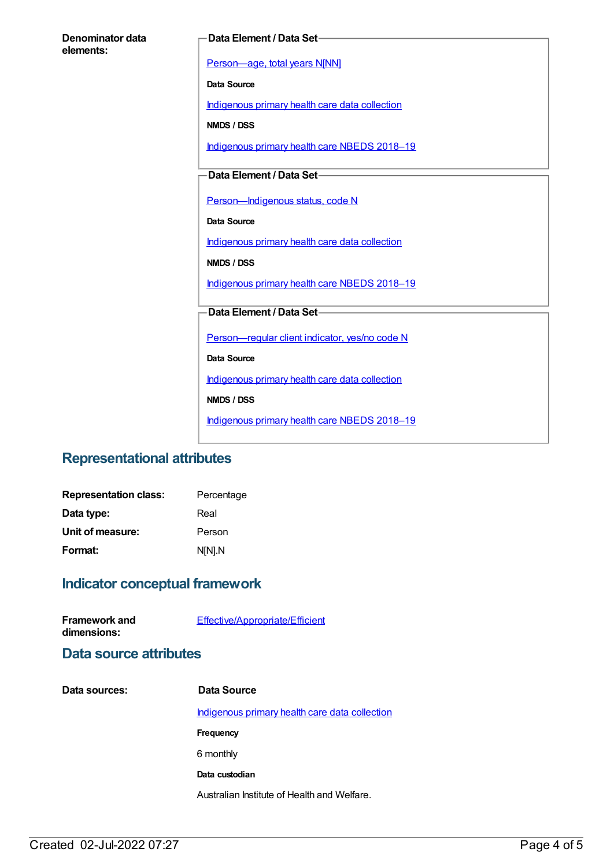| Denominator data |  |
|------------------|--|
| elements:        |  |

#### **Data Element / Data Set**

[Person—age,](https://meteor.aihw.gov.au/content/303794) total years N[NN]

**Data Source**

[Indigenous](https://meteor.aihw.gov.au/content/430643) primary health care data collection

**NMDS / DSS**

[Indigenous](https://meteor.aihw.gov.au/content/694101) primary health care NBEDS 2018-19

### **Data Element / Data Set**

Person-Indigenous status, code N

**Data Source**

[Indigenous](https://meteor.aihw.gov.au/content/430643) primary health care data collection

**NMDS / DSS**

[Indigenous](https://meteor.aihw.gov.au/content/694101) primary health care NBEDS 2018-19

### **Data Element / Data Set**

[Person—regular](https://meteor.aihw.gov.au/content/686291) client indicator, yes/no code N

**Data Source**

[Indigenous](https://meteor.aihw.gov.au/content/430643) primary health care data collection

**NMDS / DSS**

[Indigenous](https://meteor.aihw.gov.au/content/694101) primary health care NBEDS 2018-19

## **Representational attributes**

| <b>Representation class:</b> | Percentage |
|------------------------------|------------|
| Data type:                   | Real       |
| Unit of measure:             | Person     |
| Format:                      | N[N].N     |

## **Indicator conceptual framework**

| <b>Framework and</b><br>dimensions: | <b>Effective/Appropriate/Efficient</b>                |
|-------------------------------------|-------------------------------------------------------|
| Data source attributes              |                                                       |
| Data sources:                       | Data Source                                           |
|                                     | <u>Indigenous primary health care data collection</u> |
|                                     | Frequency                                             |
|                                     | 6 monthly                                             |
|                                     |                                                       |

**Data custodian**

Australian Institute of Health and Welfare.